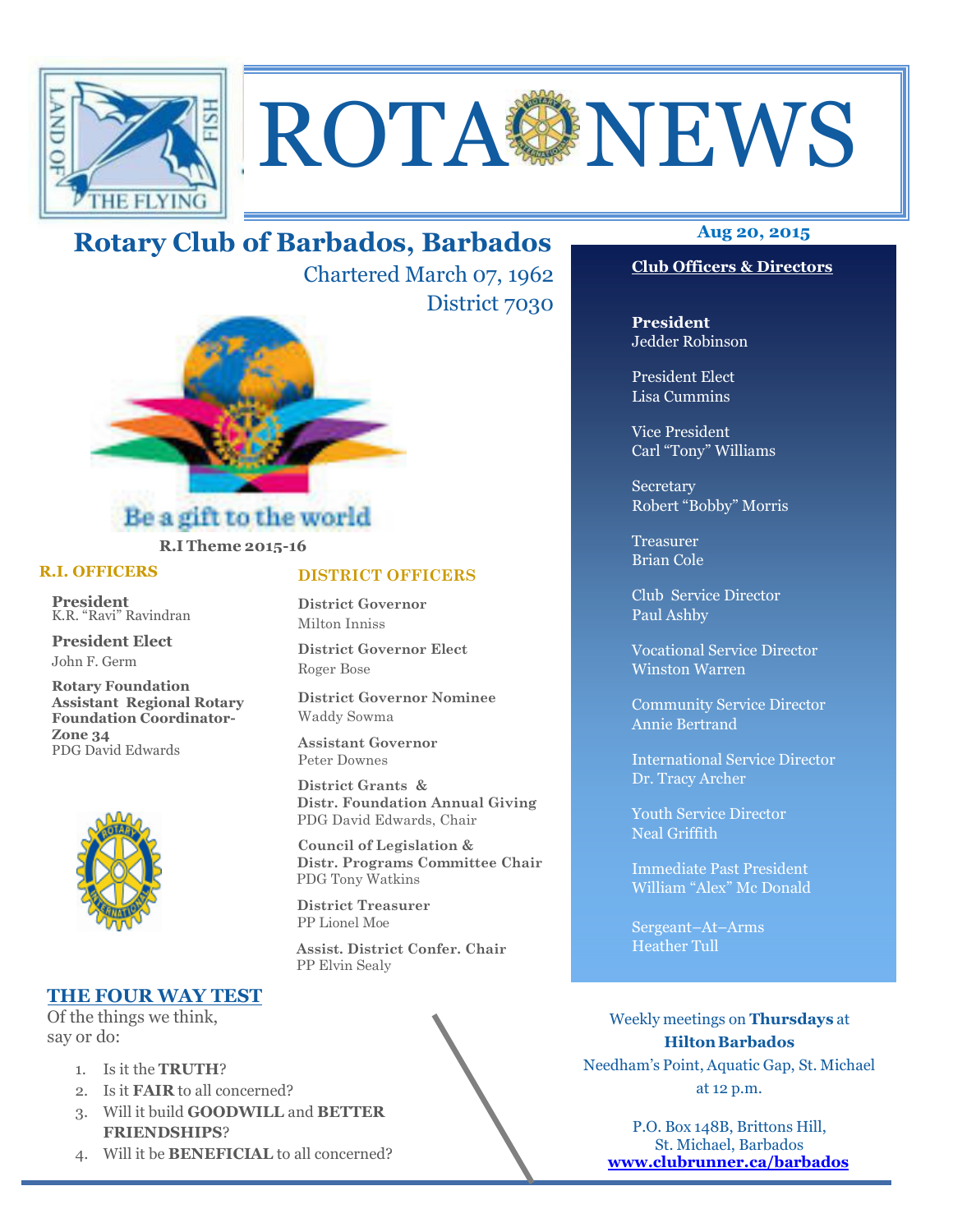

# ROTA NEWS

# **Aug 20, 2015 Rotary Club of Barbados, Barbados**

Chartered March 07, 1962 District 7030



# **R.I Theme 2015-16**

## **R.I. OFFICERS**

**President** K.R. "Ravi" Ravindran

**President Elect** John F. Germ

**Rotary Foundation Assistant Regional Rotary Foundation Coordinator-Zone 34**  PDG David Edwards



## **THE FOUR WAY TEST**

Of the things we think, say or do:

- 1. Is it the **TRUTH**?
- 2. Is it **FAIR** to all concerned?
- 3. Will it build **GOODWILL** and **BETTER FRIENDSHIPS**?
- 4. Will it be **BENEFICIAL** to all concerned?

## **DISTRICT OFFICERS**

**District Governor** Milton Inniss

**District Governor Elect** Roger Bose

**District Governor Nominee**  Waddy Sowma

**Assistant Governor**  Peter Downes

 **District Grants & Distr. Foundation Annual Giving** PDG David Edwards, Chair

 **Council of Legislation & Distr. Programs Committee Chair** PDG Tony Watkins

 **District Treasurer**  PP Lionel Moe

 **Assist. District Confer. Chair**  PP Elvin Sealy



## **Club Officers & Directors**

**President** Jedder Robinson

President Elect Lisa Cummins

Vice President Carl "Tony" Williams

Secretary Robert "Bobby" Morris

Treasurer Brian Cole

Club Service Director Paul Ashby

Vocational Service Director Winston Warren

Community Service Director Annie Bertrand

International Service Director Dr. Tracy Archer

Youth Service Director Neal Griffith

Immediate Past President William "Alex" Mc Donald

Sergeant–At–Arms Heather Tull

Weekly meetings on **Thursdays** at **Hilton Barbados** Needham's Point, Aquatic Gap, St. Michael at 12 p.m.

P.O. Box 148B, Brittons Hill, St. Michael, Barbados **www.clubrunner.ca/barbados**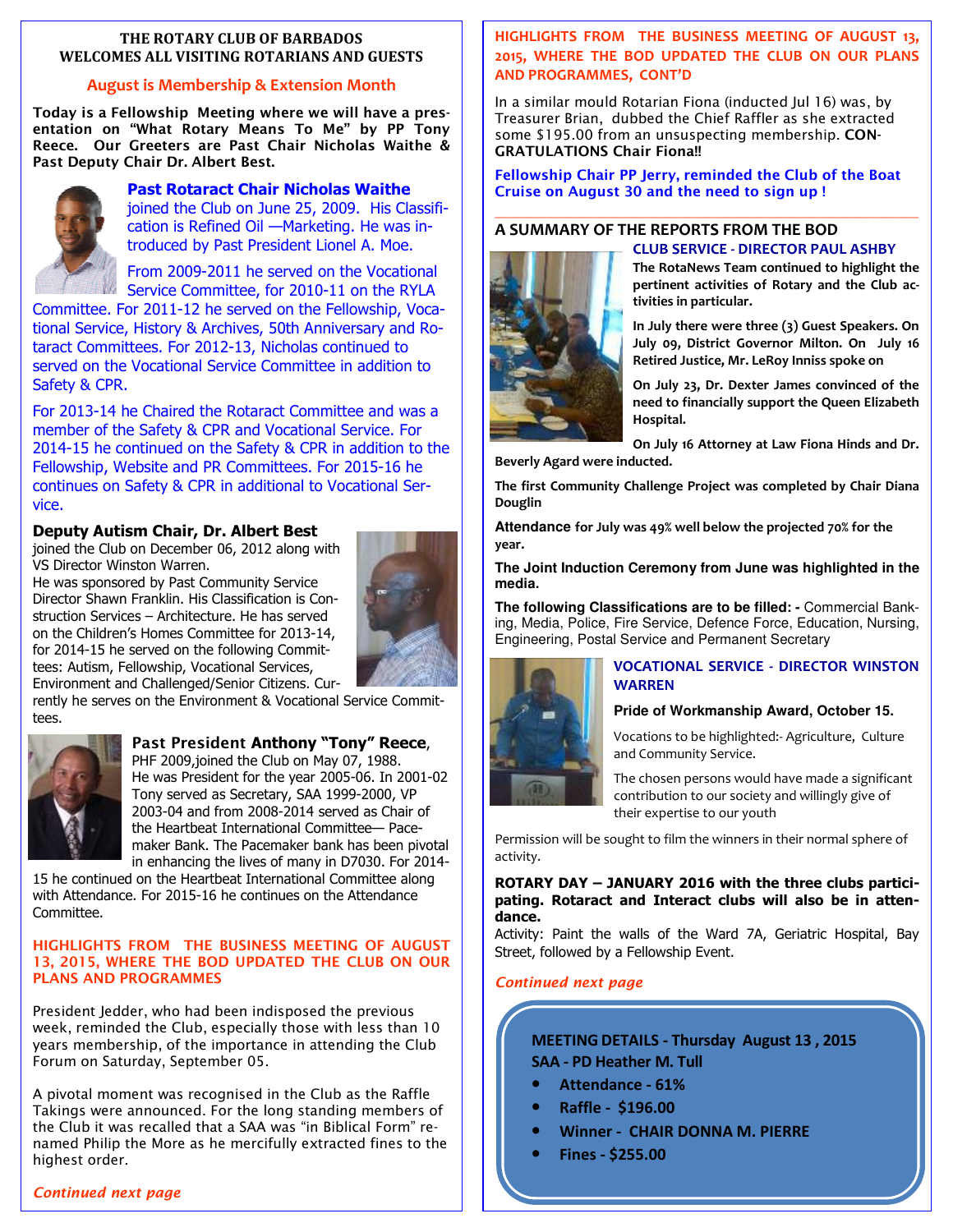## **THE ROTARY CLUB OF BARBADOS WELCOMES ALL VISITING ROTARIANS AND GUESTS**

## **August is Membership & Extension Month**

**Today is a Fellowship Meeting where we will have a presentation on "What Rotary Means To Me" by PP Tony Reece. Our Greeters are Past Chair Nicholas Waithe & Past Deputy Chair Dr. Albert Best.** 



**Past Rotaract Chair Nicholas Waithe**  joined the Club on June 25, 2009. His Classification is Refined Oil —Marketing. He was introduced by Past President Lionel A. Moe.

From 2009-2011 he served on the Vocational Service Committee, for 2010-11 on the RYLA

Committee. For 2011-12 he served on the Fellowship, Vocational Service, History & Archives, 50th Anniversary and Rotaract Committees. For 2012-13, Nicholas continued to served on the Vocational Service Committee in addition to Safety & CPR.

For 2013-14 he Chaired the Rotaract Committee and was a member of the Safety & CPR and Vocational Service. For 2014-15 he continued on the Safety & CPR in addition to the Fellowship, Website and PR Committees. For 2015-16 he continues on Safety & CPR in additional to Vocational Service.

## **Deputy Autism Chair, Dr. Albert Best**

joined the Club on December 06, 2012 along with VS Director Winston Warren.

He was sponsored by Past Community Service Director Shawn Franklin. His Classification is Construction Services – Architecture. He has served on the Children's Homes Committee for 2013-14, for 2014-15 he served on the following Committees: Autism, Fellowship, Vocational Services, Environment and Challenged/Senior Citizens. Cur-



rently he serves on the Environment & Vocational Service Committees.



**Past President Anthony "Tony" Reece**,

PHF 2009, joined the Club on May 07, 1988. He was President for the year 2005-06. In 2001-02 Tony served as Secretary, SAA 1999-2000, VP 2003-04 and from 2008-2014 served as Chair of the Heartbeat International Committee— Pacemaker Bank. The Pacemaker bank has been pivotal in enhancing the lives of many in D7030. For 2014-

15 he continued on the Heartbeat International Committee along with Attendance. For 2015-16 he continues on the Attendance Committee.

## **HIGHLIGHTS FROM THE BUSINESS MEETING OF AUGUST 13, 2015, WHERE THE BOD UPDATED THE CLUB ON OUR PLANS AND PROGRAMMES**

President Jedder, who had been indisposed the previous week, reminded the Club, especially those with less than 10 years membership, of the importance in attending the Club Forum on Saturday, September 05.

 highest order. A pivotal moment was recognised in the Club as the Raffle Takings were announced. For the long standing members of the Club it was recalled that a SAA was "in Biblical Form" renamed Philip the More as he mercifully extracted fines to the

## **HIGHLIGHTS FROM THE BUSINESS MEETING OF AUGUST 13, 2015, WHERE THE BOD UPDATED THE CLUB ON OUR PLANS AND PROGRAMMES, CONT'D**

In a similar mould Rotarian Fiona (inducted Jul 16) was, by Treasurer Brian, dubbed the Chief Raffler as she extracted some \$195.00 from an unsuspecting membership. **CON-GRATULATIONS Chair Fiona!!** 

## **Fellowship Chair PP Jerry, reminded the Club of the Boat Cruise on August 30 and the need to sign up !**

**tivities in particular.** 

## **A SUMMARY OF THE REPORTS FROM THE BOD**



**CLUB SERVICE - DIRECTOR PAUL ASHBY The RotaNews Team continued to highlight the pertinent activities of Rotary and the Club ac-**

**In July there were three (3) Guest Speakers. On July 09, District Governor Milton. On July 16 Retired Justice, Mr. LeRoy Inniss spoke on** 

**On July 23, Dr. Dexter James convinced of the need to financially support the Queen Elizabeth Hospital.** 

**On July 16 Attorney at Law Fiona Hinds and Dr. Beverly Agard were inducted.** 

**The first Community Challenge Project was completed by Chair Diana Douglin** 

**Attendance for July was 49% well below the projected 70% for the year.** 

**The Joint Induction Ceremony from June was highlighted in the media.** 

**The following Classifications are to be filled: -** Commercial Banking, Media, Police, Fire Service, Defence Force, Education, Nursing, Engineering, Postal Service and Permanent Secretary



## **VOCATIONAL SERVICE - DIRECTOR WINSTON WARREN**

## **Pride of Workmanship Award, October 15.**

Vocations to be highlighted:- Agriculture, Culture and Community Service.

The chosen persons would have made a significant contribution to our society and willingly give of their expertise to our youth

Permission will be sought to film the winners in their normal sphere of activity.

## **ROTARY DAY – JANUARY 2016 with the three clubs participating. Rotaract and Interact clubs will also be in attendance.**

Activity: Paint the walls of the Ward 7A, Geriatric Hospital, Bay Street, followed by a Fellowship Event.

## *Continued next page*

## **MEETING DETAILS - Thursday August 13 , 2015 SAA - PD Heather M. Tull**

- **Attendance 61%**
- **Raffle \$196.00**
- **Winner CHAIR DONNA M. PIERRE**
- **Fines \$255.00**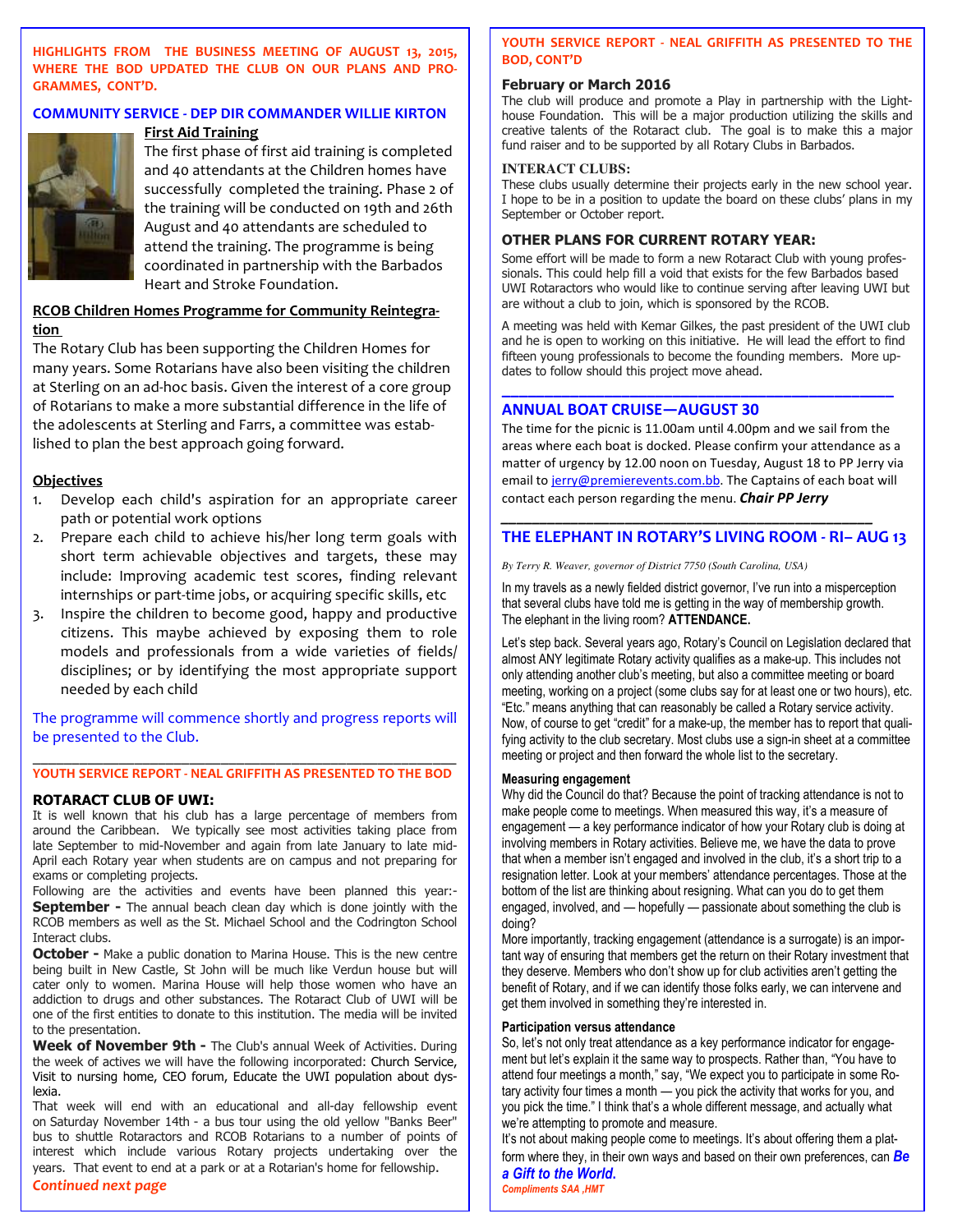**HIGHLIGHTS FROM THE BUSINESS MEETING OF AUGUST 13, 2015, WHERE THE BOD UPDATED THE CLUB ON OUR PLANS AND PRO-GRAMMES, CONT'D.** 

## **COMMUNITY SERVICE - DEP DIR COMMANDER WILLIE KIRTON**



## **First Aid Training**

The first phase of first aid training is completed and 40 attendants at the Children homes have successfully completed the training. Phase 2 of the training will be conducted on 19th and 26th August and 40 attendants are scheduled to attend the training. The programme is being coordinated in partnership with the Barbados Heart and Stroke Foundation.

## **RCOB Children Homes Programme for Community Reintegration**

The Rotary Club has been supporting the Children Homes for many years. Some Rotarians have also been visiting the children at Sterling on an ad-hoc basis. Given the interest of a core group of Rotarians to make a more substantial difference in the life of the adolescents at Sterling and Farrs, a committee was established to plan the best approach going forward.

## **Objectives**

- 1. Develop each child's aspiration for an appropriate career path or potential work options
- 2. Prepare each child to achieve his/her long term goals with short term achievable objectives and targets, these may include: Improving academic test scores, finding relevant internships or part-time jobs, or acquiring specific skills, etc
- 3. Inspire the children to become good, happy and productive citizens. This maybe achieved by exposing them to role models and professionals from a wide varieties of fields/ disciplines; or by identifying the most appropriate support needed by each child

The programme will commence shortly and progress reports will be presented to the Club.

## \_\_\_\_\_\_\_\_\_\_\_\_\_\_\_\_\_\_\_\_\_\_\_\_\_\_\_\_\_\_\_\_\_\_\_\_\_\_\_\_\_\_\_\_\_\_\_\_\_\_\_\_\_\_ **YOUTH SERVICE REPORT - NEAL GRIFFITH AS PRESENTED TO THE BOD**

## **ROTARACT CLUB OF UWI:**

It is well known that his club has a large percentage of members from around the Caribbean. We typically see most activities taking place from late September to mid-November and again from late January to late mid-April each Rotary year when students are on campus and not preparing for exams or completing projects.

Following are the activities and events have been planned this year:- **September -** The annual beach clean day which is done jointly with the RCOB members as well as the St. Michael School and the Codrington School Interact clubs.

**October -** Make a public donation to Marina House. This is the new centre being built in New Castle, St John will be much like Verdun house but will cater only to women. Marina House will help those women who have an addiction to drugs and other substances. The Rotaract Club of UWI will be one of the first entities to donate to this institution. The media will be invited to the presentation.

Week of November 9th - The Club's annual Week of Activities. During the week of actives we will have the following incorporated: Church Service, Visit to nursing home, CEO forum, Educate the UWI population about dyslexia.

 years. That event to end at a park or at a Rotarian's home for fellowship. That week will end with an educational and all-day fellowship event on Saturday November 14th - a bus tour using the old yellow "Banks Beer" bus to shuttle Rotaractors and RCOB Rotarians to a number of points of interest which include various Rotary projects undertaking over the

### *Continued next page*

**YOUTH SERVICE REPORT - NEAL GRIFFITH AS PRESENTED TO THE BOD, CONT'D** 

## **February or March 2016**

The club will produce and promote a Play in partnership with the Lighthouse Foundation. This will be a major production utilizing the skills and creative talents of the Rotaract club. The goal is to make this a major fund raiser and to be supported by all Rotary Clubs in Barbados.

## **INTERACT CLUBS:**

These clubs usually determine their projects early in the new school year. I hope to be in a position to update the board on these clubs' plans in my September or October report.

## **OTHER PLANS FOR CURRENT ROTARY YEAR:**

Some effort will be made to form a new Rotaract Club with young professionals. This could help fill a void that exists for the few Barbados based UWI Rotaractors who would like to continue serving after leaving UWI but are without a club to join, which is sponsored by the RCOB.

A meeting was held with Kemar Gilkes, the past president of the UWI club and he is open to working on this initiative. He will lead the effort to find fifteen young professionals to become the founding members. More updates to follow should this project move ahead.

**\_\_\_\_\_\_\_\_\_\_\_\_\_\_\_\_\_\_\_\_\_\_\_\_\_\_\_\_\_\_\_\_\_\_\_\_\_\_\_\_\_\_\_\_\_\_** 

## **ANNUAL BOAT CRUISE—AUGUST 30**

The time for the picnic is 11.00am until 4.00pm and we sail from the areas where each boat is docked. Please confirm your attendance as a matter of urgency by 12.00 noon on Tuesday, August 18 to PP Jerry via email to jerry@premierevents.com.bb. The Captains of each boat will contact each person regarding the menu. *Chair PP Jerry* 

## **THE ELEPHANT IN ROTARY'S LIVING ROOM - RI– AUG 13**

*\_\_\_\_\_\_\_\_\_\_\_\_\_\_\_\_\_\_\_\_\_\_\_\_\_\_\_\_\_\_\_\_\_\_\_\_\_\_\_\_\_\_\_\_\_\_\_\_* 

*By Terry R. Weaver, governor of District 7750 (South Carolina, USA)* 

In my travels as a newly fielded district governor, I've run into a misperception that several clubs have told me is getting in the way of membership growth. The elephant in the living room? **ATTENDANCE.** 

Let's step back. Several years ago, Rotary's Council on Legislation declared that almost ANY legitimate Rotary activity qualifies as a make-up. This includes not only attending another club's meeting, but also a committee meeting or board meeting, working on a project (some clubs say for at least one or two hours), etc. "Etc." means anything that can reasonably be called a Rotary service activity. Now, of course to get "credit" for a make-up, the member has to report that qualifying activity to the club secretary. Most clubs use a sign-in sheet at a committee meeting or project and then forward the whole list to the secretary.

## **Measuring engagement**

Why did the Council do that? Because the point of tracking attendance is not to make people come to meetings. When measured this way, it's a measure of engagement — a key performance indicator of how your Rotary club is doing at involving members in Rotary activities. Believe me, we have the data to prove that when a member isn't engaged and involved in the club, it's a short trip to a resignation letter. Look at your members' attendance percentages. Those at the bottom of the list are thinking about resigning. What can you do to get them engaged, involved, and — hopefully — passionate about something the club is doing?

More importantly, tracking engagement (attendance is a surrogate) is an important way of ensuring that members get the return on their Rotary investment that they deserve. Members who don't show up for club activities aren't getting the benefit of Rotary, and if we can identify those folks early, we can intervene and get them involved in something they're interested in.

## **Participation versus attendance**

So, let's not only treat attendance as a key performance indicator for engagement but let's explain it the same way to prospects. Rather than, "You have to attend four meetings a month," say, "We expect you to participate in some Rotary activity four times a month — you pick the activity that works for you, and you pick the time." I think that's a whole different message, and actually what we're attempting to promote and measure.

It's not about making people come to meetings. It's about offering them a platform where they, in their own ways and based on their own preferences, can *Be a Gift to the World***.** 

*Compliments SAA ,HMT*